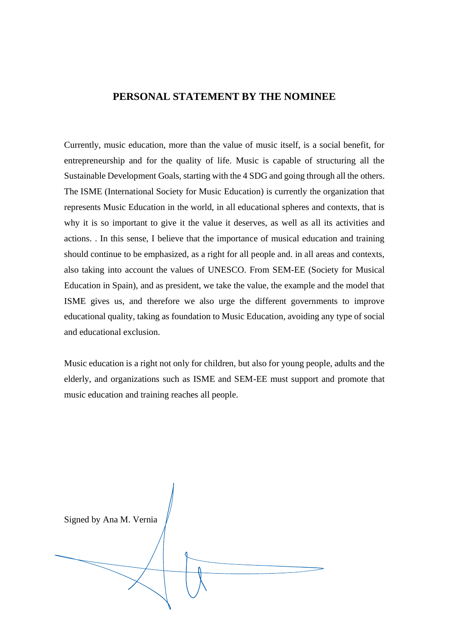## **PERSONAL STATEMENT BY THE NOMINEE**

Currently, music education, more than the value of music itself, is a social benefit, for entrepreneurship and for the quality of life. Music is capable of structuring all the Sustainable Development Goals, starting with the 4 SDG and going through all the others. The ISME (International Society for Music Education) is currently the organization that represents Music Education in the world, in all educational spheres and contexts, that is why it is so important to give it the value it deserves, as well as all its activities and actions. . In this sense, I believe that the importance of musical education and training should continue to be emphasized, as a right for all people and. in all areas and contexts, also taking into account the values of UNESCO. From SEM-EE (Society for Musical Education in Spain), and as president, we take the value, the example and the model that ISME gives us, and therefore we also urge the different governments to improve educational quality, taking as foundation to Music Education, avoiding any type of social and educational exclusion.

Music education is a right not only for children, but also for young people, adults and the elderly, and organizations such as ISME and SEM-EE must support and promote that music education and training reaches all people.